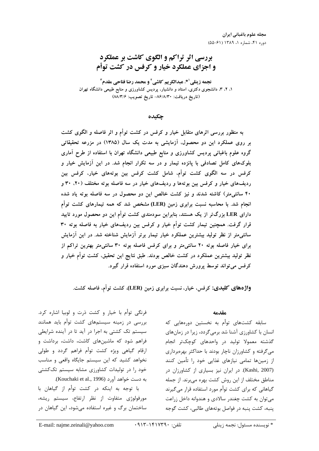# بررسی اثر تراکم و الگوی کاشت بر عملکرد و اجزای عملکرد خیار و کرفس در کشت توأم

نجمه زينلي `\*، عبدالكريم كاشي ً و محمد رضا فتاحي مقدم ً ۱، ۲، ۳، دانشجوی دکتری، استاد و دانشیار، پردیس کشاورزی و منابع طبیعی دانشگاه تهران (تاريخ دريافت: ۸۶/۸/۳۰- تاريخ تصويب: ۸۸/۳/۶)

جكىدە

به منظور بررسی اثرهای متقابل خیار و کرفس در کشت توأم و اثر فاصله و الگوی کشت بر روی عملکرد این دو محصول، آزمایشی به مدت یک سال (۱۳۸۵) در مزرعه تحقیقاتی گروه علوم باغبانی پردیس کشاورزی و منابع طبیعی دانشگاه تهران با استفاده از طرح آماری .<br>بلوکهای کامل تصادفی با پانزده تیمار و در سه تکرار انجام شد. در این آزمایش خیار و کرفس در سه الگوی کشت توأم، شامل کشت کرفس بین بوتههای خیار، کرفس بین ردیفهای خیار و کرفس بین بوتهها و ردیفهای خیار در سه فاصله بوته مختلف (۲۰، ۳۰ و ۴۰ سانتی متر) کاشته شدند و نیز کشت خالص این دو محصول در سه فاصله بوته یاد شده انجام شد. با محاسبه نسبت برابری زمین (LER) مشخص شد که همه تیمارهای کشت توأم دارای LER بزرگ تر از یک هستند، بنابراین سودمندی کشت توأم این دو محصول مورد تایید قرار گرفت. همچنین تیمار کشت توأم خیار و کرفس بین ردیفهای خیار به فاصله بوته ۳۰ سانتیمتر از نظر تولید بیشترین عملکرد خیار تیمار برتر آزمایش شناخته شد. در این آزمایش برای خیار فاصله بوته ۲۰ سانتی متر و برای کرفس فاصله بوته ۳۰ سانتی متر بهترین تراکم از نظر تولید بیشترین عملکرد در کشت خالص بودند. طبق نتایج این تحقیق، کشت توأم خیار و کرفس می تواند توسط پرورش دهندگان سبزی مورد استفاده قرار گیرد.

واژههای کلیدی: کرفس، خیار، نسبت برابری زمین (LER)، کشت توأم، فاصله کشت.

### مقدمه

سابقه کشتهای توأم به نخستین دورههایی که انسان با کشاورزی آشنا شد برمی گردد، زیرا در زمانهای گذشته معمولا تولید در واحدهای کوچکتر انجام می گرفته و کشاورزان ناچار بودند با حداکثر بهرهبرداری از زمینها تمامی نیازهای غذایی خود را تأمین کنند (Kashi, 2007). در ایران نیز بسیاری از کشاورزان در مناطق مختلف از این روش کشت بهره میبرند. از جمله گیاهانی که برای کشت توأم مورد استفاده قرار میگیرند می توان به کشت چغندر سالادی و هندوانه داخل زراعت ينبه، كشت ينبه در فواصل بوتههاي طالبي، كشت گوجه

فرنگی توأم با خیار و کشت ذرت و لوبیا اشاره کرد. بررسی در زمینه سیستمهای کشت توأم باید همانند سیستم تک کشتی به اجرا در آید تا در آینده شرایطی فراهم شود که ماشینهای کاشت، داشت، برداشت و ارقام گیاهی ویژه کشت توأم فراهم گردد و طولی نخواهد کشید که این سیستم جایگاه واقعی و مناسب خود را در تولیدات کشاورزی مشابه سیستم تککشتی به دست خواهد آورد (Kouchaki et al., 1996).

با توجه به اینکه در کشت توأم از گیاهان با مورفولوژی متفاوت از نظر ارتفاع، سیستم ریشه، ساختمان برگ و غیره استفاده می شود، این گیاهان در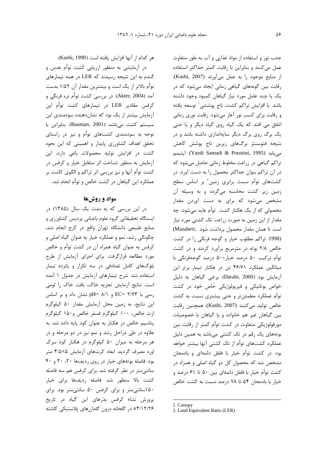هر كدام از آنها افزايش يافته است (Kashi, 1990).

در آزمایشی به منظور ارزیابی کشت توأم عدس و گندم به این نتیجه رسیدند که LER در همه تیمارهای توأم بالاتر از یک است و بیشترین مقدار آن ۱/۵۲ بدست آمد (Akter, 2004). در بررسی کشت توأم تره فرنگی و کرفس مقادیر LER در تیمارهای کشت توأم این آزمایش بیشتر از یک بود که نشاندهنده سودمندی این سيستم كشت مى باشد (Bauman, 2001). بنابراين با توجه به سودمندی کشتهای توأم و نیز در راستای تحقق اهداف کشاورزی پایدار و اهمیتی که این نحوه کشت در افزایش تولید محصولات باغی دارد، این آزمایش به منظور شناخت اثر متقابل خیار و کرفس در کشت توأم آنها و نیز بررسی اثر تراکم و الگوی کاشت بر عملکرد این گیاهان در کشت خالص و توأم انجام شد.

# مواد و روشها

در این بررسی که به مدت یک سال (۱۳۸۵) در ایستگاه تحقیقاتی گروه علوم باغبانی پردیس کشاورزی و منابع طبیعی دانشگاه تهران واقع در کرج انجام شد، چگونگی رشد، نمو و عملکرد خیار به عنوان گیاه اصلی و کرفس به عنوان گیاه همراه آن در کشت توأم و خالص مورد مطالعه قرارگرفت. برای اجرای آزمایش از طرح بلوکهای کامل تصادفی در سه تکرار و پانزده تیمار استفاده شد. شرح تیمارهای آزمایش در جدول ١ آمده است. نتايج آزمايش تجزيه خاك، بافت خاك را لومي رسی با ۲/۷۳ EC= و pH= ۸/۱ نشان داد و بر اساس این نتایج، به زمین محل آزمایش مقدار ۵۰ کیلوگرم ازت خالص، ۱۰۰ کیلوگرم فسفر خالص و۱۵۰ کیلوگرم پتاسیم خالص در هکتار به عنوان کود پایه داده شد. به علاوه در طی مراحل رشد و نمو نیز در دو مرحله و در هر مرحله به میزان ۵۰ کیلوگرم در هکتار کود سرک اوره مصرف گردید. ابعاد کرتهای آزمایش ۴/۵×۵ متر بود. فاصله بوتههای خیار در روی ردیفها ٢٠، ٣٠ و ۴٠ سانتی متر در نظر گرفته شد. برای کرفس هم سه فاصله كشت بالا منظور شد. فاصله رديفها براى خيار ۱۵۰سانتی متر و برای کرفس ۵۰ سانتی متر بود. برای پرورش نشاء كرفس بذرهاى اين گياه در تاريخ ۸۴/۱۲/۲۶ در گلخانه درون گلدانهای پلاستیکی کاشته

جذب نور و استفاده از مواد غذایی و آب به طور متفاوت عمل میکنند و بنابراین با رقابت کمتر حداکثر استفاده از منابع موجود را به عمل می آورند (Kashi, 2007). رقابت بین گونههای گیاهی زمانی ایجاد میشود که در یک یا چند عامل مورد نیاز گیاهان کمبود وجود داشته باشد. با افزایش تراکم کشت، تاج یوششی توسعه یافته و رقابت برای کسب نور آغاز میشود. رقابت نوری زمانی اتفاق می افتد که یک گیاه روی گیاه دیگر و یا حتی یک برگ روی برگ دیگر سایهاندازی داشته باشد و در نتیجه فتوسنتز برگهای زیرین تاج پوشش کاهش مي يابد (Yazdi Samadi & Poustini, 1995). ايتيمم تراکم گیاهی در زراعت مخلوط زمانی حاصل میشود که در آن تراکم بتوان حداکثر محصول را به دست آورد. در کشتهای توأم نسبت برابری زمین<sup>۲</sup> بر اساس سطح زمین زیر کشت محاسبه میگردد و به وسیله آن مشخص می شود که برای به دست آوردن مقدار محصولی که از یک هکتار کشت توأم عاید می شود، چه مقدار از این زمین به صورت زراعت تک کشتی مورد نیاز است تا همان مقدار محصول برداشت شود .(Mazaheri (1998. تراكم مطلوب خيار وكوجه فرنگى را در كشت خالص ۲/۸ بوته در مترمربع برآورد کردند و در کشت توأم تركيب ۵۰ درصد خيار+۵۰ درصد گوجهفرنگي با میانگین عملکرد ۴۶/۷۱ تن در هکتار تیمار برتر این آزمایش بود (Darabi, 2000). برخی گیاهان به دلیل خواص بوتانيکي و فيزيولوژيکي خاص خود در کشت توأم عملكرد مطمئن تر و حتى بيشترى نسبت به كشت خالص توليد مي كنند (Kashi, 2007). همچنين رقابت بین گیاهان غیر هم خانواده و یا گیاهان با خصوصیات مورفولوژیکی متفاوت در کشت توأم کمتر از رقابت بین بوتههای یک رقم در تک کشتی میباشد به همین دلیل عملکرد کشتهای توأم از تک کشتی آنها بیشتر خواهد بود. در کشت توأم خیار با فلفل دلمهای و بادمجان مشخص شد که محصول کل دو گیاه اصلی و همراه در کشت توأم خیار با فلفل دلمهای بین ۵۰ تا ۶۱ درصد و خيار با بادمجان ۵۴ تا ۷۸ درصد نسبت به كشت خالص

<sup>1.</sup> Canopy

<sup>2.</sup> Land Equivalent Ratio (LER)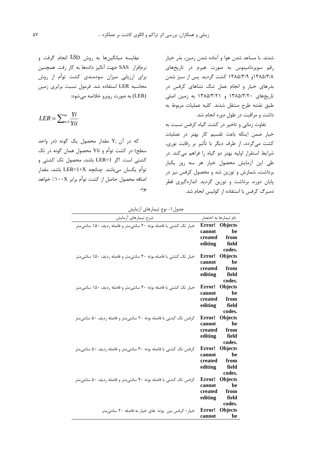شدند. با مساعد شدن هوا و آماده شدن زمین، بذر خیار رقم سوپردامینوس به صورت هیرم در تاریخهای ۱۳۸۵/۳/۸ و ۱۳۸۵/۳/۹ کشت گردید. پس از سبز شدن بذرهای خیار و انجام عمل تنک نشاهای کرفس در تاریخهای ۱۳۸۵/۳/۲۰ و ۱۳۸۵/۳/۲۱ به زمین اصلی طبق نقشه طرح منتقل شدند. كليه عمليات مربوط به داشت و مراقبت در طول دوره انجام شد.

تفاوت زمانی و تاخیر در کشت گیاه کرفس نسبت به خيار ضمن اينكه باعث تقسيم كار بهتر در عمليات کشت مے گردد، از طرف دیگر با تأثیر بر رقابت نوری، شرایط استقرار اولیه بهتر دو گیاه را فراهم می کند. در طی این آزمایش محصول خیار هر سه روز یکبار برداشت، شمارش و توزین شد و محصول کرفس نیز در پایان دوره، برداشت و توزین گردید. اندازهگیری قطر دمبرگ کرفس با استفاده از کولیس انجام شد.

مقایسه میانگینها به روش LSD انجام گرفت و نرمافزار SAS جهت آناليز دادهها به كار رفت. همچنين برای ارزیابی میزان سودمندی کشت توأم از روش محاسبه LER استفاده شد. فرمول نسبت برابری زمین (LER) به صورت روبرو خلاصه میشود:

 $LER = \sum_{n=1}^{m} \frac{Y_i}{V_i}$ 

که در آن  $Y_i$  مقدار محصول یک گونه (در واحد سطح) در کشت توأم و Yii محصول همان گونه در تک كشتى است. اگر LER=1 باشد، محصول تک كشتى و توأم يكسان مي باشد. چنانچه LER=1+X باشد، مقدار اضافه محصول حاصل از کشت توأم برابر ۱۰۰X٪ خواهد بود.

جدول ۱ – نوع تیمارهای آزمایش

| بخون، کس نیسرسی رہیس                                               |                          |
|--------------------------------------------------------------------|--------------------------|
| شرح تيمارهاي أزمايش                                                | نام تیمارها به اختصار    |
| خیار تک کشتی با فاصله بوته ۲۰ سانتی متر و فاصله ردیف ۱۵۰ سانتی متر | Error! Objects           |
|                                                                    | be<br>cannot             |
|                                                                    | created from             |
|                                                                    | editing field            |
|                                                                    | codes.                   |
| خیار تک کشتی با فاصله بوته ۳۰ سانتی تر و فاصله ردیف ۱۵۰ سانتی متر  | Objects<br>Error!        |
|                                                                    | be<br>cannot             |
|                                                                    | created<br>from          |
|                                                                    | field<br>editing         |
|                                                                    | codes.                   |
| خیار تک کشتی با فاصله بوته ۴۰ سانتی متر و فاصله ردیف ۱۵۰ سانتی متر | Error! Objects           |
|                                                                    | be<br>cannot             |
|                                                                    | created<br>from          |
|                                                                    | editing field            |
|                                                                    | codes.                   |
| کرفس تک کشتی با فاصله بوته ٢٠ سانتیمتر و فاصله رديف ٥٠ سانتیمتر    | Error!<br><b>Objects</b> |
|                                                                    | be<br>cannot             |
|                                                                    | created<br>from          |
|                                                                    | field<br>editing         |
|                                                                    | codes.                   |
| کرفس تک کشتی با فاصله بوته ٣٠ سانتیمتر و فاصله رديف ٥٠ سانتیمتر    | Error! Objects           |
|                                                                    | be<br>cannot             |
|                                                                    | created<br>from          |
|                                                                    | field<br>editing         |
|                                                                    | codes.                   |
| کرفس تک کشتی با فاصله بوته ۴۰ سانتیمتر و فاصله ردیف ۵۰ سانتیمتر    | Error!<br><b>Objects</b> |
|                                                                    | <b>be</b><br>cannot      |
|                                                                    | created<br>from          |
|                                                                    | editing field            |
|                                                                    | codes.                   |
| خیار+ کرفس بین بوته های خیار به فاصله ٢٠ سانتیمتر                  | Error!<br>Objects        |
|                                                                    | cannot be                |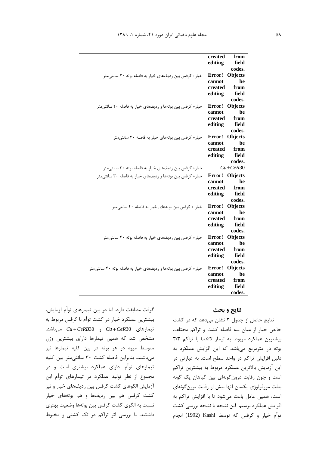|                                                                 | created<br>from<br>editing<br>field |
|-----------------------------------------------------------------|-------------------------------------|
|                                                                 | codes.                              |
| خیار+ کرفس بین ردیفهای خیار به فاصله بوته ۲۰ سانتی متر          | Error!<br>Objects                   |
|                                                                 | be<br>cannot                        |
|                                                                 | created<br>from                     |
|                                                                 | editing<br>field                    |
|                                                                 | codes.                              |
| خیار+ کرفس بین بوتهها و ردیفهای خیار به فاصله ٢٠ سانتیمتر       | <b>Objects</b><br>Error!            |
|                                                                 | be<br>cannot                        |
|                                                                 | created<br>from                     |
|                                                                 | field<br>editing                    |
|                                                                 | codes.<br><b>Objects</b><br>Error!  |
| خیار+ کرفس بین بوتههای خیار به فاصله ۳۰ سانتی متر               | be<br>cannot                        |
|                                                                 | created<br>from                     |
|                                                                 | editing<br>field                    |
|                                                                 | codes.                              |
| خیار+ کرفس بین ردیفهای خیار به فاصله بوته ۳۰ سانتی متر          | $Cu+CeR30$                          |
| خیار+ کرفس بین بوتهها و ردیفهای خیار به فاصله ۳۰ سانتی متر      | <b>Objects</b><br>Error!            |
|                                                                 | be<br>cannot                        |
|                                                                 | from<br>created                     |
|                                                                 | editing<br>field                    |
|                                                                 | codes.                              |
| خیار + کرفس بین بوتههای خیار به فاصله ۴۰ سانتی متر              | Objects<br>Error!                   |
|                                                                 | be<br>cannot                        |
|                                                                 | created<br>from                     |
|                                                                 | field<br>editing                    |
|                                                                 | codes.<br><b>Objects</b><br>Error!  |
| خیار+ کرفس بین ردیفهای خیار به فاصله بوته ۴۰ سانتی متر          | be<br>cannot                        |
|                                                                 | created<br>from                     |
|                                                                 | editing<br>field                    |
|                                                                 | codes.                              |
| خیار+ کرفس بین بوتهها و ردیفهای خیار به فاصله بوته ۴۰ سانتی متر | <b>Objects</b><br>Error!            |
|                                                                 | be<br>cannot                        |
|                                                                 | created<br>from                     |
|                                                                 | editing<br>field                    |
|                                                                 | codes.                              |

گرفت مطابقت دارد. اما در بین تیمارهای توأم آزمایش، بیشترین عملکرد خیار در کشت توأم با کرفس مربوط به  $Cu + CeR30$  و Cu+CeR30 و Cu+CeR30 میباشد. مشخص شد که همین تیمارها دارای بیشترین وزن متوسط میوه در هر بوته در بین کلیه تیمارها نیز میباشند. بنابراین فاصله کشت ٣٠ سانتیمتر بین کلیه تیمارهای توأم، دارای عملکرد بیشتری است و در مجموع از نظر تولید عملکرد در تیمارهای توأم این آزمایش الگوهای کشت کرفس بین ردیفهای خیار و نیز کشت کرفس هم بین ردیفها و هم بوتههای خیار نسبت به الگوی کشت کرفس بین بوتهها وضعیت بهتری داشتند. با بررسی اثر تراکم در تک کشتی و مخلوط

## نتايج و بحث

نتایج حاصل از جدول ٢ نشان می دهد که در کشت خالص خیار از میان سه فاصله کشت و تراکم مختلف،  $T/T$  بیشترین عملکرد مربوط به تیمار Cu20 با تراکم بوته در مترمربع میباشد که این افزایش عملکرد به دلیل افزایش تراکم در واحد سطح است. به عبارتی در این آزمایش بالاترین عملکرد مربوط به بیشترین تراکم است و چون رقابت درون گونهای بین گیاهان یک گونه بعلت مورفولوژی یکسان آنها بیش از رقابت برون گونهای است، همین عامل باعث می شود تا با افزایش تراکم به افزایش عملکرد برسیم. این نتیجه با نتیجه بررسی کشت توأم خيار و كرفس كه توسط Kashi (1992) انجام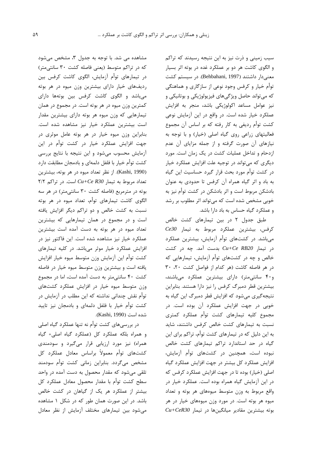سیب زمینی و ذرت نیز به این نتیجه رسیدند که تراکم و الگوی کاشت هر دو بر عملکرد غده در بوته اثر بسیار معنی دار داشتند (Behbahani, 1997). در سیستم کشت توأم خیار و کرفس وجود نوعی از سازگاری و هماهنگی که میتواند حاصل ویژگیهای فیزیولوژیکی و بوتانیکی و نيز عوامل مساعد اكولوژيكى باشد، منجر به افزايش عملکرد خیار شده است. در واقع در این آزمایش نوعی کشت توأم رديفي به کار رفته که بر اساس آن مجموع فعالیتهای زراعی روی گیاه اصلی (خیار) و با توجه به نیازهای آن صورت گرفته و از جمله مزایای آن عدم ازدحام و تداخل عملیات کشت در یک زمان است. مورد دیگری که می تواند در توجیه علت افزایش عملکرد خیار در کشت توأم مورد بحث قرار گیرد حساسیت این گیاه به باد و اثر گیاه همراه آن کرفس تا حدودی به عنوان بادشکن مربوط است و اثر بادشکن در کشت توأم نیز به خوبی مشخص شده است که می تواند اثر مطلوب بر رشد و عملکرد گیاه حساس به باد دارا باشد.

طبق جدول ۲ در بین تیمارهای کشت خالص كرفس، بيشترين عملكرد مربوط به تيمار Ce30 میباشد. در کشتهای توأم آزمایش، بیشترین عملکرد  $Cu+Ce$  RB20 بدست آمد. چه در کشت خالص و چه در کشتهای توأم آزمایش، تیمارهایی که در هر فاصله كاشت (هر كدام از فواصل كشت ٢٠، ٣٠ و۴۰ سانتی متر) دارای بیشترین عملکرد میباشند، بیشترین قطر دمبرگ کرفس را نیز دارا هستند. بنابراین نتیجه گیری می شود که افزایش قطر دمبرگ این گیاه به خوبی در جهت افزایش عملکرد آن بوده است. در مجموع كليه تيمارهاى كشت توأم عملكرد كمترى نسبت به تیمارهای کشت خالص کرفس داشتند، شاید به این دلیل که در تیمارهای کشت توأم، تراکم برای این گیاه در حد استاندارد تراکم تیمارهای کشت خالص نبوده است، همچنین در کشتهای توأم آزمایش، افزایش عملکرد کل بیشتر در جهت افزایش عملکرد گیاه اصلی (خیار) بوده تا در جهت افزایش عملکرد کرفس که در این آزمایش گیاه همراه بوده است. عملکرد خیار در واقع مربوط به وزن متوسط میوههای هر بوته و تعداد میوه هر بوته است. در مورد وزن میوههای خیار در هر  $Cu+CeR30$  بوته بیشترین مقادیر میانگینها در تیمار

مشاهده می شد. با توجه به جدول ۳، مشخص می شود که در تراکم متوسط (یعنی فاصله کشت ۳۰ سانتی متر) در تیمارهای توأم آزمایش، الگوی کاشت کرفس بین ردیفهای خیار دارای بیشترین وزن میوه در هر بوته می باشد و الگوی کاشت کرفس بین بوتهها دارای کمترین وزن میوه در هر بوته است. در مجموع در همان تیمارهایی که وزن میوه هر بوته دارای بیشترین مقدار است بیشترین عملکرد خیار نیز مشاهده شده است. بنابراین وزن میوه خیار در هر بوته عامل موثری در جهت افزایش عملکرد خیار در کشت توأم در این آزمایش محسوب میشود و این نتیجه با نتایج بررسی كشت توأم خيار با فلفل دلمهاي و بادمجان مطابقت دارد (Kashi, 1990). از نظر تعداد ميوه در هر بوته، بيشترين  $7/7$  تعداد مربوط به تیمار Cu+Ce R30 است. در تراکم بوته در مترمربع (فاصله کشت ۳۰ سانتی متر) در هر سه الگوی کاشت تیمارهای توأم، تعداد میوه در هر بوته نسبت به کشت خالص و دو تراکم دیگر افزایش یافته است و در مجموع در همان تیمارهایی که بیشترین تعداد میوه در هر بوته به دست آمده است بیشترین عملکرد خیار نیز مشاهده شده است. این فاکتور نیز در افزایش عملکرد خیار موثر میباشد. در کلیه تیمارهای كشت توأم اين آزمايش وزن متوسط ميوه خيار افزايش یافته است و بیشترین وزن متوسط میوه خیار در فاصله کشت ۴۰ سانتی متر به دست آمده است، اما در مجموع وزن متوسط میوه خیار در افزایش عملکرد کشتهای توأم نقش چندانی نداشته که این مطلب در آزمایش در کشت توأم خیار با فلفل دلمهای و بادمجان نیز تایید شده است (Kashi, 1990).

در بررسیهای کشت توأم نه تنها عملکرد گیاه اصلی و همراه بلكه عملكرد كل (عملكرد گياه اصلى+ گياه همراه) نیز مورد ارزیابی قرار میگیرد و سودمندی كشتهاى توأم معمولاً براساس معادل عملكرد كل مشخص میگردد. بنابراین زمانی کشت توأم سودمند تلقی می شود که مقدار محصول به دست آمده در واحد سطح کشت توأم با مقدار محصول معادل عملکرد کل بیشتر از عملکرد هر یک از گیاهان در کشت خالص باشد. در این صورت همان طور که در شکل ۱ مشاهده می شود بین تیمارهای مختلف آزمایش از نظر معادل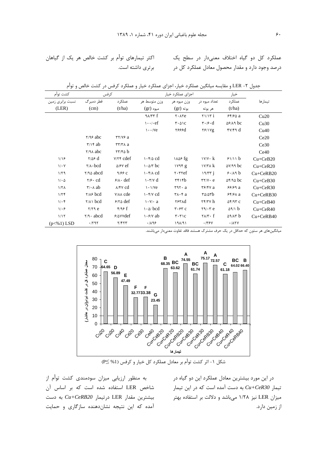عملکرد کل دو گیاه اختلاف معنیدار در سطح یک درصد وجود دارد و مقدار محصول معادل عملکرد کل در

| كشت توأم               | كرفس                                       |                                     | اجزای عملکرد خیار                                        |                                                |                                                                                            | خيار                       |               |
|------------------------|--------------------------------------------|-------------------------------------|----------------------------------------------------------|------------------------------------------------|--------------------------------------------------------------------------------------------|----------------------------|---------------|
| نسبت برابری زمین       | قطر دمبرگ                                  | عملکر د                             | وزن متوسط هر                                             | وزن ميوه هر                                    | تعداد میوه در                                                                              | عملکر د                    | تيمارها       |
| (LER)                  | (cm)                                       | (t/ha)                              | $(gr)$ میوه                                              | $(gr)$ بوته                                    | هر بوته                                                                                    | (t/ha)                     |               |
|                        |                                            |                                     | 9A/TT                                                    | $Y \cdot \Lambda Ye$                           | $\gamma$ $\gamma$                                                                          | 55/6a                      | Cu20          |
|                        |                                            |                                     | $\cdots$ / $\cdot$ ef                                    | $\mathbf{r} \cdot \mathbf{\Delta} \mathbf{c}$  | $\mathbf{r} \cdot \mathbf{r} \cdot \mathbf{d}$                                             | $\Delta$ ۶/ $\Lambda$ ۹ bc | Cu30          |
|                        |                                            |                                     | $\cdots$ /Ye                                             | 7888d                                          | $Y$ / $Y$ g                                                                                | fV/fq d                    | Cu40          |
|                        | $Y/9$ abc                                  | $\tau\tau/\gamma\epsilon$ a         |                                                          |                                                |                                                                                            |                            | Ce20          |
|                        | $\forall x \in \mathbf{a}$                 | $\mathbf{r}\mathbf{r}/\mathbf{r}$ a |                                                          |                                                |                                                                                            |                            | Ce30          |
|                        | $Y/9\lambda$ abc                           | $\mathbf{r} = \mathbf{r}$           |                                                          |                                                |                                                                                            |                            | Ce40          |
| 1/19                   | $\gamma/\Delta \epsilon$ d                 | Y/Yf cdef                           | $\cdot$ ۴/۵ cd                                           | 1806 fg                                        | $\frac{1}{\sqrt{2}}$                                                                       | 91/11 b                    | $Cu + CeB20$  |
| $1/\cdot Y$            | $\mathsf{Y}/\mathsf{A}\cdot \mathsf{bcd}$  | $\Delta$ / $\epsilon$ Y ef          | $1 - \Delta/T$ bc                                        | 1Y9f g                                         | $\frac{1}{\sqrt{2}}$                                                                       | $\Delta V/99$ bc           | $Cu + CeR20$  |
| 1/79                   | $Y/90$ abcd                                | 9/99C                               | $\cdot$ $\mathsf{f}/\mathsf{A}$ cd                       | $r$ · $r$ $ref$                                | 19/77 i                                                                                    | 9.119 b                    | $Cu + CeRB20$ |
| 1/2                    | $\mathbf{Y}/\mathbf{P} \cdot \mathbf{C}$   | $9/\lambda \cdot \text{def}$        | $\mathbf{1} \cdot \mathbf{r} / \mathbf{v} \, \mathbf{d}$ | rrb                                            | $\tau\tau/\nu$ e                                                                           | $\Delta f / 90$ bc         | $Cu + CeB30$  |
| $1/7\Lambda$           | $\mathbf{r}/\mathbf{A}$ ab                 | $\lambda$ /۴۷ cd                    | $\lambda \cdot \lambda$ /Ye                              | $r\mathfrak{q}\mathfrak{r}$ . a                | $\mathbf{r}$ $\mathbf{r}$ $\mathbf{r}$ $\mathbf{r}$ $\mathbf{r}$ $\mathbf{r}$ $\mathbf{r}$ | 99/99a                     | $Cu + CeR30$  |
| 1/7f                   | $Y/A$ bcd                                  | $V/\lambda\lambda$ cde              | $\mathcal{N} \cdot \mathcal{N} \times \mathcal{N}$       | $\mathsf{r}\wedge\mathsf{r}\mathsf{a}$         | ۳۵/۵۳b                                                                                     | $55/6A$ a                  | $Cu + CeRB30$ |
| $1/\cdot$ ۴            | $\forall x \in \mathbb{R}$                 | $9/8$ def                           | $\mathbf{y} \cdot \mathbf{y} \cdot \mathbf{a}$           | 7971d                                          | $\mathbf{Y} \mathbf{Y} / \mathbf{Y} \mathbf{Y}$ h                                          | $\Delta f$ /9٣ c           | $Cu + CeB40$  |
| $1/\cdot 5$            | $Y/Y$ ۹ $e$                                | f/99f                               | $\cdot \omega$ bcd                                       | $\mathbf{r} \cdot \mathbf{r} \cdot \mathbf{c}$ | $\mathbf{Y} \mathbf{9} / \cdot \mathbf{y}$ e                                               | $\Delta$ 9/1 b             | $Cu + CeR40$  |
| 1/17                   | $\mathsf{Y}/\mathsf{A}\cdot \mathsf{abcd}$ | $9/0$ Y V def                       | $\frac{1.5}{1}$ ab                                       | $\mathbf{r} \cdot \mathbf{r}$                  | $\mathsf{Y}\wedge\mathsf{Y}\cdot\mathsf{f}$                                                | $\Delta$ 9/15 b            | $Cu + CeRB40$ |
| $(p<\frac{9}{6}1)$ LSD | .797                                       | Y/FYY                               | $\cdot$ /198                                             | $19\lambda/91$                                 | .799                                                                                       | .111Y                      |               |

جدول ۲- LER و مقايسه ميانگين عملكرد خيار، اجزاي عملكرد خيار و عملكرد كرفس در كشت خالص و توأم

میانگینهای هر ستون که حداقل در یک حرف مشترک هستند فاقد تفاوت معنیدار میباشند.



شکل ۱- اثر کشت توأم بر معادل عملکرد کل خیار و کرفس (P< %1)

به منظور ارزیابی میزان سودمندی کشت توأم از شاخص LER استفاده شده است که بر اساس آن بیشترین مقدار LER درتیمار Cu+CeRB20 به دست آمده که این نتیجه نشاندهنده سازگاری و حمایت

در این مورد بیشترین معادل عملکرد این دو گیاه در تیمار Cu+CeR30 به دست آمده است که در این تیمار میزان LER نیز ۱/۲۸ میباشد و دلالت بر استفاده بهتر از زمین دارد.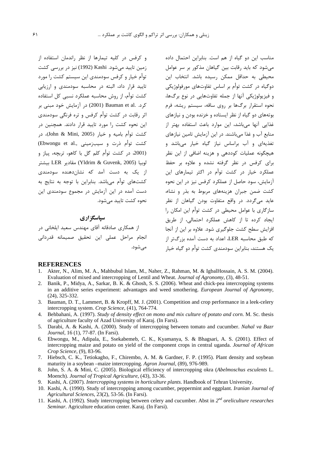و کرفس در کلیه تیمارها از نظر راندمان استفاده از زمین تایید می شود. Kashi (1992) نیز در بررسی کشت توأم خیار و کرفس سودمندی این سیستم کشت را مورد تایید قرار داد، البته در محاسبه سودمندی و ارزیابی كشت توأم، از روش محاسبه عملكرد نسبى كل استفاده کرد. .Bauman et al (2001) در آزمایش خود مبنی بر اثر رقابت در کشت توأم کرفس و تره فرنگی سودمندی این نحوه کشت را مورد تایید قرار دادند. همچنین در كشت توأم باميه و خيار (John & Mini, 2005)، در كشت توأم ذرت و سيبزمينى ,.Ebwongu et al (2001، در كشت توأم كلم گل با كاهو، تربچه، پياز و لوبيا (2005 ,Yldrim & Guvenk) مقادير LER بيشتر از یک به دست آمد که نشاندهنده سودمندی كشتهاى توأم مى باشد. بنابراين با توجه به نتايج به دست آمده در این آزمایش در مجموع سودمندی این نحوه كشت تاييد مى شود.

سپاسگزاری از همکاری صادقانه آقای مهندس سعید ایلخانی در انجام مراحل عملی این تحقیق صمیمانه قدردان*ی* مي شود.

مناسب این دو گیاه از هم است. بنابراین احتمال داده می شود که باید رقابت بین گیاهان مذکور بر سر عوامل محیطی به حداقل ممکن رسیده باشد. انتخاب این دوگیاه در کشت توأم بر اساس تفاوتهای مورفولوژیکی و فيزيولوژيکي آنها از جمله تفاوتهايي در نوع برگها، نحوه استقرار برگها بر روی ساقه، سیستم ریشه، فرم بوتههای دو گیاه از نظر ایستاده و خزنده بودن و نیازهای غذایی آنها میباشد، این موارد باعث استفاده بهتر از منابع آب و غذا میباشند. در این آزمایش تامین نیازهای تغذيهاي و آب براساس نياز گياه خيار مي باشد و هیچگونه عملیات کوددهی و هزینه اضافی از این نظر برای کرفس در نظر گرفته نشده و علاوه بر حفظ عملکرد خیار در کشت توأم در اکثر تیمارهای این آزمایش، سود حاصل از عملکرد کرفس نیز در این نحوه کشت ضمن جبران هزینههای مربوط به بذر و نشاء، عاید می گردد. در واقع متفاوت بودن گیاهان از نظر سازگاری با عوامل محیطی در کشت توأم این امکان را ایجاد کرده تا از کاهش عملکرد احتمالی، از طریق افزایش سطح کشت جلوگیری شود. علاوه بر این از آنجا که طبق محاسبه LER، اعداد به دست آمده بزرگتر از یک هستند، بنابراین سودمندی کشت توأم دو گیاه خیار

#### **REFERENCES**

- $1<sub>1</sub>$ Akter, N., Alim, M. A., Mahbubul Islam, M., Naher, Z., Rahman, M. & IgbalHossain, A. S. M. (2004). Evaluation of mixed and intercropping of Lentil and Wheat. Journal of Agronomy, (3), 48-51.
- $\overline{2}$ . Banik, P., Midya, A., Sarkar, B. K. & Ghosh, S. S. (2006). Wheat and chick-pea intercropping systems in an additive series experiment: advantages and weed smothering. European Journal of Agronomy,  $(24), 325 - 332.$
- 3. Bauman, D. T., Lammert, B. & Kropff, M. J. (2001). Competition and crop performance in a leek-celery intercropping system. Crop Science, (41), 764-774.
- 4. Behbahani, A. (1997). Study of density effect on mono and mix culture of potato and corn. M. Sc. thesis of agriculture faculty of Azad University of Karaj. (In Farsi).
- 5. Darabi, A. & Kashi, A. (2000). Study of intercropping between tomato and cucumber. Nahal va Bazr Journal, 16 (1), 77-87. (In Farsi).
- 6. Ebwongu, M., Adipala, E., Ssekabemeb, C. K., Kyamanya, S. & Bhagsari, A. S. (2001). Effect of intercropping maize and potato on yield of the component crops in central uganda. Journal of African Crop Science, (9), 83-96.
- 7. Hiebsch, C. K., Tetiokagho, F., Chirembo, A. M. & Gardner, F. P. (1995). Plant density and soybean maturity in a soybean –maize intercropping. Agron Journal, (89), 976-989.
- John, S. A. & Mini, C. (2005). Biological efficiency of intercropping okra (Abelmoschus esculents L.  $\mathbf{8}$ Moench). Journal of Tropical Agriculture, (43), 33-36.
- Kashi, A. (2007). Intercropping systems in horticulture plants. Handbook of Tehran University.  $\mathbf{Q}$
- 10. Kashi, A. (1990). Study of intercropping among cucumber, peppermint and eggplant. Iranian Journal of Agricultural Sciences, 23(2), 53-56. (In Farsi).
- 11. Kashi, A. (1992). Study intercropping between celery and cucumber. Abst in  $2^{nd}$  oreliculture researches Seminar. Agriculture education center. Karaj. (In Farsi).